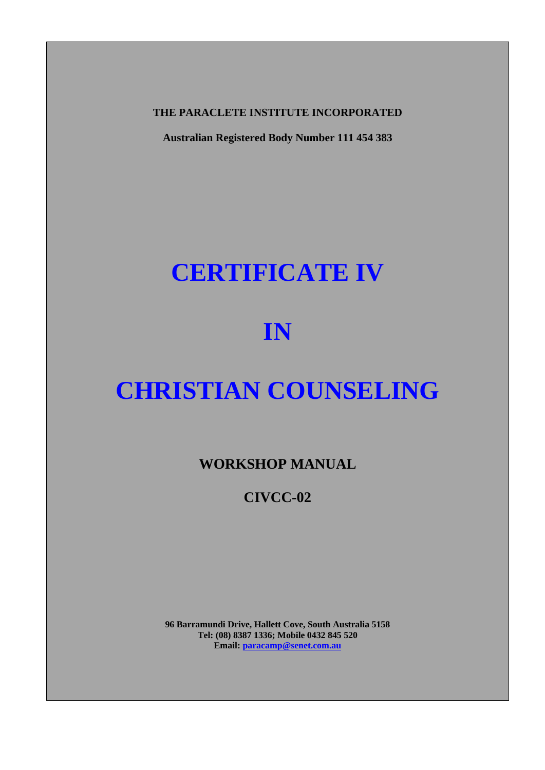**THE PARACLETE INSTITUTE INCORPORATED** 

**Australian Registered Body Number 111 454 383** 

# **CERTIFICATE IV**

# **IN**

# **CHRISTIAN COUNSELING**

**WORKSHOP MANUAL** 

**CIVCC-02** 

**96 Barramundi Drive, Hallett Cove, South Australia 5158 Tel: (08) 8387 1336; Mobile 0432 845 520 Email: paracamp@senet.com.au**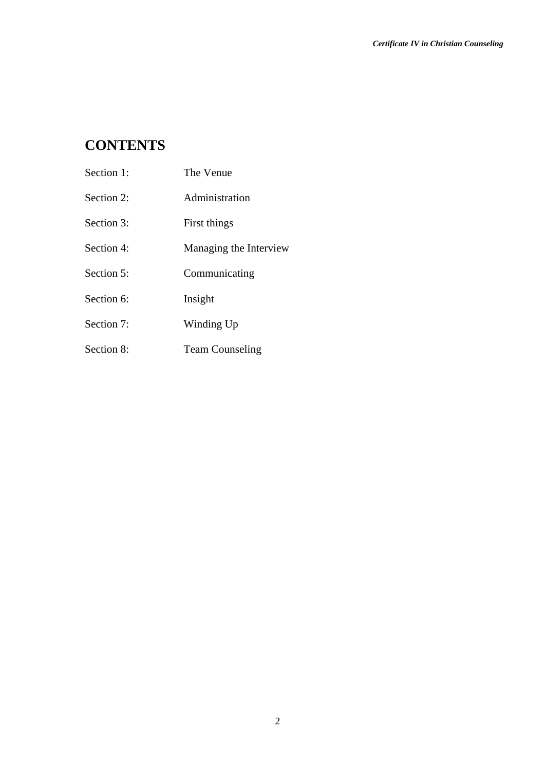# **CONTENTS**

| Section 1: | The Venue              |
|------------|------------------------|
| Section 2: | Administration         |
| Section 3: | First things           |
| Section 4: | Managing the Interview |
| Section 5: | Communicating          |
| Section 6: | Insight                |
| Section 7: | Winding Up             |
| Section 8: | <b>Team Counseling</b> |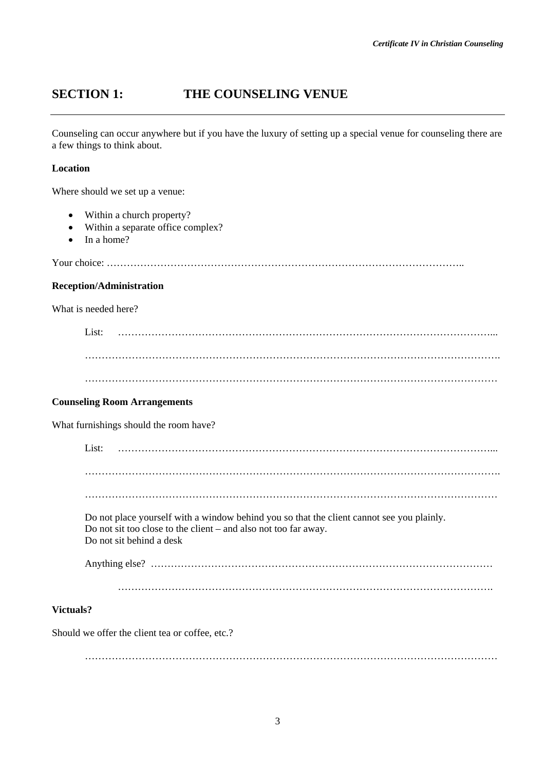# **SECTION 1: THE COUNSELING VENUE**

Counseling can occur anywhere but if you have the luxury of setting up a special venue for counseling there are a few things to think about.

### **Location**

Where should we set up a venue:

- Within a church property?
- Within a separate office complex?
- In a home?

Your choice: ……………………………………………………………………………………………..

#### **Reception/Administration**

What is needed here?

List: …………………………………………………………………………………………………... ……………………………………………………………………………………………………………. ……………………………………………………………………………………………………………

#### **Counseling Room Arrangements**

What furnishings should the room have?

| List:     |                          |                                                                                                                                                              |  |  |  |
|-----------|--------------------------|--------------------------------------------------------------------------------------------------------------------------------------------------------------|--|--|--|
|           |                          |                                                                                                                                                              |  |  |  |
|           |                          |                                                                                                                                                              |  |  |  |
|           | Do not sit behind a desk | Do not place yourself with a window behind you so that the client cannot see you plainly.<br>Do not sit too close to the client – and also not too far away. |  |  |  |
|           |                          |                                                                                                                                                              |  |  |  |
|           |                          |                                                                                                                                                              |  |  |  |
| Victuals? |                          |                                                                                                                                                              |  |  |  |

Should we offer the client tea or coffee, etc.?

……………………………………………………………………………………………………………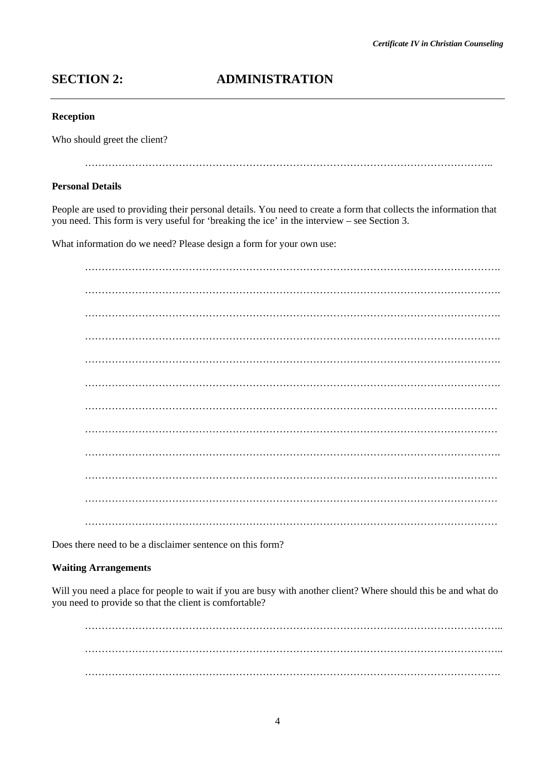# **SECTION 2: ADMINISTRATION**

#### **Reception**

Who should greet the client?

…………………………………………………………………………………………………………..

#### **Personal Details**

People are used to providing their personal details. You need to create a form that collects the information that you need. This form is very useful for 'breaking the ice' in the interview – see Section 3.

What information do we need? Please design a form for your own use:

 $\mathcal{L}^{\text{max}}_{\text{max}}$ . The contract of the contract of the contract of the contract of the contract of the contract of the contract of the contract of the contract of the contract of the contract of the contract of the contract of the contrac ……………………………………………………………………………………………………………. ……………………………………………………………………………………………………………. . The contract of the contract of the contract of the contract of the contract of the contract of the contract of the contract of the contract of the contract of the contract of the contract of the contract of the contrac  $\mathcal{L}^{\text{max}}_{\text{max}}$  …………………………………………………………………………………………………………… …………………………………………………………………………………………………………… ……………………………………………………………………………………………………………. …………………………………………………………………………………………………………… …………………………………………………………………………………………………………… ……………………………………………………………………………………………………………

Does there need to be a disclaimer sentence on this form?

#### **Waiting Arrangements**

Will you need a place for people to wait if you are busy with another client? Where should this be and what do you need to provide so that the client is comfortable?

 ……………………………………………………………………………………………………………..  $\mathcal{L}_{\mathcal{M}}$  , and the contract of the contract of the contract of the contract of the contract of the contract of the contract of the contract of the contract of the contract of the contract of the contract of the cont …………………………………………………………………………………………………………….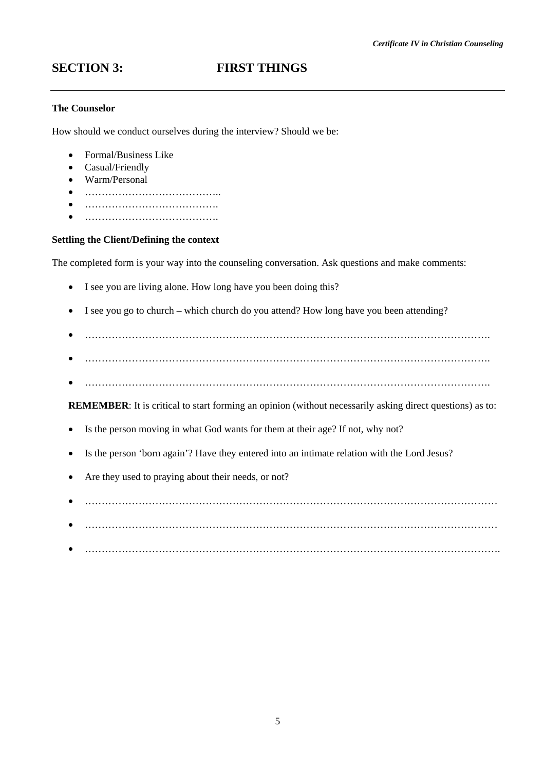## **SECTION 3:** FIRST THINGS

### **The Counselor**

How should we conduct ourselves during the interview? Should we be:

- Formal/Business Like
- Casual/Friendly
- Warm/Personal
- …………………………………..
- ………………………………….
- ………………………………….

#### **Settling the Client/Defining the context**

The completed form is your way into the counseling conversation. Ask questions and make comments:

- I see you are living alone. How long have you been doing this?
- I see you go to church which church do you attend? How long have you been attending?
- ………………………………………………………………………………………………………….
- ………………………………………………………………………………………………………….
- ………………………………………………………………………………………………………….

**REMEMBER:** It is critical to start forming an opinion (without necessarily asking direct questions) as to:

- Is the person moving in what God wants for them at their age? If not, why not?
- Is the person 'born again'? Have they entered into an intimate relation with the Lord Jesus?
- Are they used to praying about their needs, or not?
- ……………………………………………………………………………………………………………
- ……………………………………………………………………………………………………………
- $\bullet$  . In the contract of the contract of the contract of the contract of the contract of the contract of the contract of the contract of the contract of the contract of the contract of the contract of the contract of the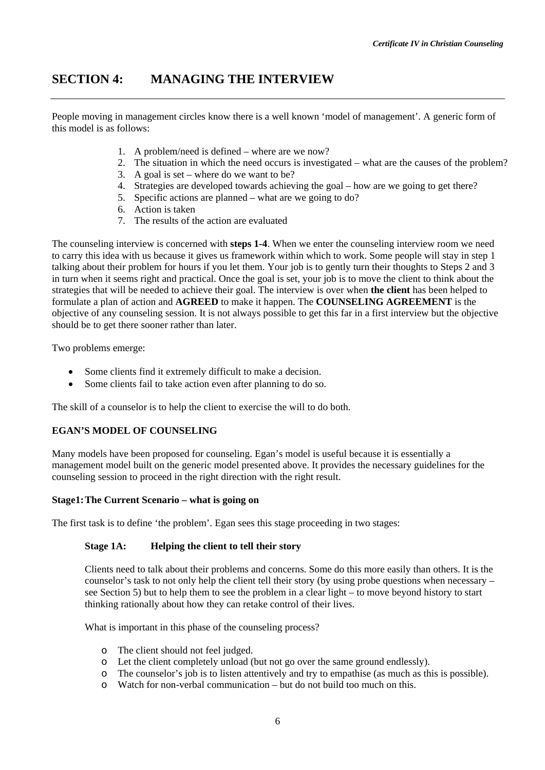## **SECTION 4: MANAGING THE INTERVIEW**

People moving in management circles know there is a well known 'model of management'. A generic form of this model is as follows:

- 1. A problem/need is defined where are we now?
- 2. The situation in which the need occurs is investigated what are the causes of the problem?
- 3. A goal is set where do we want to be?
- 4. Strategies are developed towards achieving the goal how are we going to get there?
- 5. Specific actions are planned what are we going to do?
- 6. Action is taken
- 7. The results of the action are evaluated

The counseling interview is concerned with **steps 1-4**. When we enter the counseling interview room we need to carry this idea with us because it gives us framework within which to work. Some people will stay in step 1 talking about their problem for hours if you let them. Your job is to gently turn their thoughts to Steps 2 and 3 in turn when it seems right and practical. Once the goal is set, your job is to move the client to think about the strategies that will be needed to achieve their goal. The interview is over when **the client** has been helped to formulate a plan of action and **AGREED** to make it happen. The **COUNSELING AGREEMENT** is the objective of any counseling session. It is not always possible to get this far in a first interview but the objective should be to get there sooner rather than later.

Two problems emerge:

- Some clients find it extremely difficult to make a decision.
- Some clients fail to take action even after planning to do so.

The skill of a counselor is to help the client to exercise the will to do both.

#### **EGAN'S MODEL OF COUNSELING**

Many models have been proposed for counseling. Egan's model is useful because it is essentially a management model built on the generic model presented above. It provides the necessary guidelines for the counseling session to proceed in the right direction with the right result.

#### **Stage1: The Current Scenario – what is going on**

The first task is to define 'the problem'. Egan sees this stage proceeding in two stages:

#### **Stage 1A: Helping the client to tell their story**

Clients need to talk about their problems and concerns. Some do this more easily than others. It is the counselor's task to not only help the client tell their story (by using probe questions when necessary – see Section 5) but to help them to see the problem in a clear light – to move beyond history to start thinking rationally about how they can retake control of their lives.

What is important in this phase of the counseling process?

- o The client should not feel judged.
- o Let the client completely unload (but not go over the same ground endlessly).
- o The counselor's job is to listen attentively and try to empathise (as much as this is possible).
- o Watch for non-verbal communication but do not build too much on this.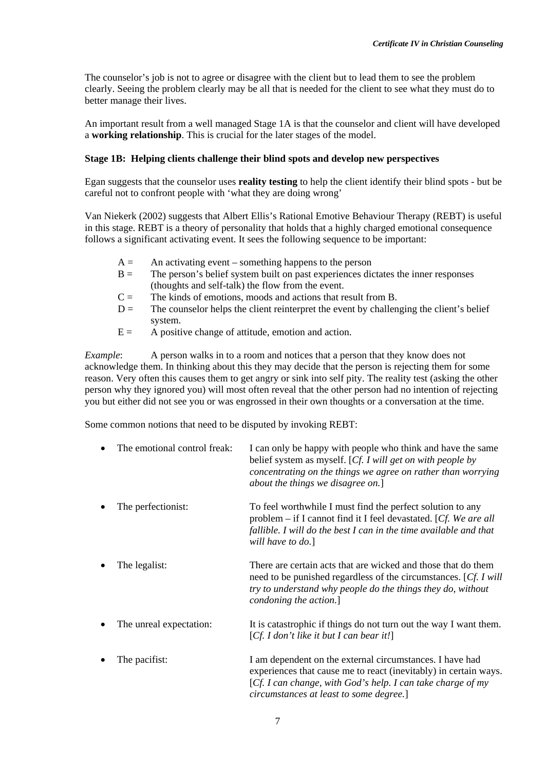The counselor's job is not to agree or disagree with the client but to lead them to see the problem clearly. Seeing the problem clearly may be all that is needed for the client to see what they must do to better manage their lives.

An important result from a well managed Stage 1A is that the counselor and client will have developed a **working relationship**. This is crucial for the later stages of the model.

#### **Stage 1B: Helping clients challenge their blind spots and develop new perspectives**

Egan suggests that the counselor uses **reality testing** to help the client identify their blind spots - but be careful not to confront people with 'what they are doing wrong'

Van Niekerk (2002) suggests that Albert Ellis's Rational Emotive Behaviour Therapy (REBT) is useful in this stage. REBT is a theory of personality that holds that a highly charged emotional consequence follows a significant activating event. It sees the following sequence to be important:

- $A =$  An activating event something happens to the person
- $B =$  The person's belief system built on past experiences dictates the inner responses (thoughts and self-talk) the flow from the event.
- $C =$  The kinds of emotions, moods and actions that result from B.
- $D =$  The counselor helps the client reinterpret the event by challenging the client's belief system.
- $E =$  A positive change of attitude, emotion and action.

*Example*: A person walks in to a room and notices that a person that they know does not acknowledge them. In thinking about this they may decide that the person is rejecting them for some reason. Very often this causes them to get angry or sink into self pity. The reality test (asking the other person why they ignored you) will most often reveal that the other person had no intention of rejecting you but either did not see you or was engrossed in their own thoughts or a conversation at the time.

Some common notions that need to be disputed by invoking REBT:

| The emotional control freak: | I can only be happy with people who think and have the same<br>belief system as myself. [Cf. I will get on with people by<br>concentrating on the things we agree on rather than worrying<br>about the things we disagree on.]         |
|------------------------------|----------------------------------------------------------------------------------------------------------------------------------------------------------------------------------------------------------------------------------------|
| The perfectionist:           | To feel worthwhile I must find the perfect solution to any<br>problem – if I cannot find it I feel devastated. [Cf. We are all<br>fallible. I will do the best I can in the time available and that<br>will have to do.]               |
| The legalist:                | There are certain acts that are wicked and those that do them<br>need to be punished regardless of the circumstances. [Cf. I will<br>try to understand why people do the things they do, without<br>condoning the action.]             |
| The unreal expectation:      | It is catastrophic if things do not turn out the way I want them.<br>[Cf. I don't like it but I can bear it!]                                                                                                                          |
| The pacifist:                | I am dependent on the external circumstances. I have had<br>experiences that cause me to react (inevitably) in certain ways.<br>[Cf. I can change, with God's help. I can take charge of my<br>circumstances at least to some degree.] |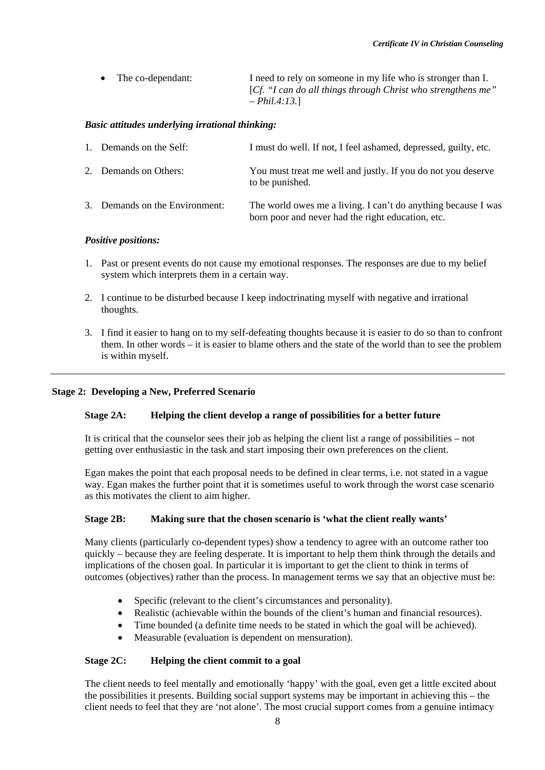| The co-dependant: | I need to rely on someone in my life who is stronger than I. |
|-------------------|--------------------------------------------------------------|
|                   | [Cf. "I can do all things through Christ who strengthens me" |
|                   | $- Phil.4:13.1$                                              |

#### *Basic attitudes underlying irrational thinking:*

| 1. Demands on the Self:        | I must do well. If not, I feel ashamed, depressed, guilty, etc.                                                    |
|--------------------------------|--------------------------------------------------------------------------------------------------------------------|
| 2. Demands on Others:          | You must treat me well and justly. If you do not you deserve<br>to be punished.                                    |
| 3. Demands on the Environment: | The world owes me a living. I can't do anything because I was<br>born poor and never had the right education, etc. |

#### *Positive positions:*

- 1. Past or present events do not cause my emotional responses. The responses are due to my belief system which interprets them in a certain way.
- 2. I continue to be disturbed because I keep indoctrinating myself with negative and irrational thoughts.
- 3. I find it easier to hang on to my self-defeating thoughts because it is easier to do so than to confront them. In other words – it is easier to blame others and the state of the world than to see the problem is within myself.

### **Stage 2: Developing a New, Preferred Scenario**

#### **Stage 2A: Helping the client develop a range of possibilities for a better future**

It is critical that the counselor sees their job as helping the client list a range of possibilities – not getting over enthusiastic in the task and start imposing their own preferences on the client.

Egan makes the point that each proposal needs to be defined in clear terms, i.e. not stated in a vague way. Egan makes the further point that it is sometimes useful to work through the worst case scenario as this motivates the client to aim higher.

#### **Stage 2B: Making sure that the chosen scenario is 'what the client really wants'**

Many clients (particularly co-dependent types) show a tendency to agree with an outcome rather too quickly – because they are feeling desperate. It is important to help them think through the details and implications of the chosen goal. In particular it is important to get the client to think in terms of outcomes (objectives) rather than the process. In management terms we say that an objective must be:

- Specific (relevant to the client's circumstances and personality).
- Realistic (achievable within the bounds of the client's human and financial resources).
- Time bounded (a definite time needs to be stated in which the goal will be achieved).
- Measurable (evaluation is dependent on mensuration).

#### **Stage 2C: Helping the client commit to a goal**

The client needs to feel mentally and emotionally 'happy' with the goal, even get a little excited about the possibilities it presents. Building social support systems may be important in achieving this – the client needs to feel that they are 'not alone'. The most crucial support comes from a genuine intimacy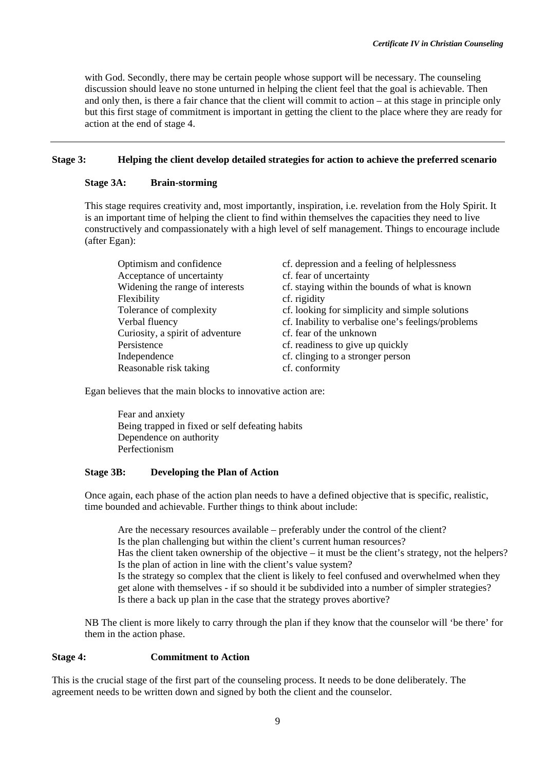with God. Secondly, there may be certain people whose support will be necessary. The counseling discussion should leave no stone unturned in helping the client feel that the goal is achievable. Then and only then, is there a fair chance that the client will commit to action – at this stage in principle only but this first stage of commitment is important in getting the client to the place where they are ready for action at the end of stage 4.

#### **Stage 3: Helping the client develop detailed strategies for action to achieve the preferred scenario**

#### **Stage 3A: Brain-storming**

This stage requires creativity and, most importantly, inspiration, i.e. revelation from the Holy Spirit. It is an important time of helping the client to find within themselves the capacities they need to live constructively and compassionately with a high level of self management. Things to encourage include (after Egan):

| Optimism and confidence          | cf. depression and a feeling of helplessness       |
|----------------------------------|----------------------------------------------------|
| Acceptance of uncertainty        | cf. fear of uncertainty                            |
| Widening the range of interests  | cf. staying within the bounds of what is known     |
| Flexibility                      | cf. rigidity                                       |
| Tolerance of complexity          | cf. looking for simplicity and simple solutions    |
| Verbal fluency                   | cf. Inability to verbalise one's feelings/problems |
| Curiosity, a spirit of adventure | cf. fear of the unknown                            |
| Persistence                      | cf. readiness to give up quickly                   |
| Independence                     | cf. clinging to a stronger person                  |
| Reasonable risk taking           | cf. conformity                                     |

Egan believes that the main blocks to innovative action are:

 Fear and anxiety Being trapped in fixed or self defeating habits Dependence on authority Perfectionism

#### **Stage 3B: Developing the Plan of Action**

Once again, each phase of the action plan needs to have a defined objective that is specific, realistic, time bounded and achievable. Further things to think about include:

 Are the necessary resources available – preferably under the control of the client? Is the plan challenging but within the client's current human resources? Has the client taken ownership of the objective – it must be the client's strategy, not the helpers? Is the plan of action in line with the client's value system? Is the strategy so complex that the client is likely to feel confused and overwhelmed when they get alone with themselves - if so should it be subdivided into a number of simpler strategies? Is there a back up plan in the case that the strategy proves abortive?

NB The client is more likely to carry through the plan if they know that the counselor will 'be there' for them in the action phase.

#### **Stage 4: Commitment to Action**

This is the crucial stage of the first part of the counseling process. It needs to be done deliberately. The agreement needs to be written down and signed by both the client and the counselor.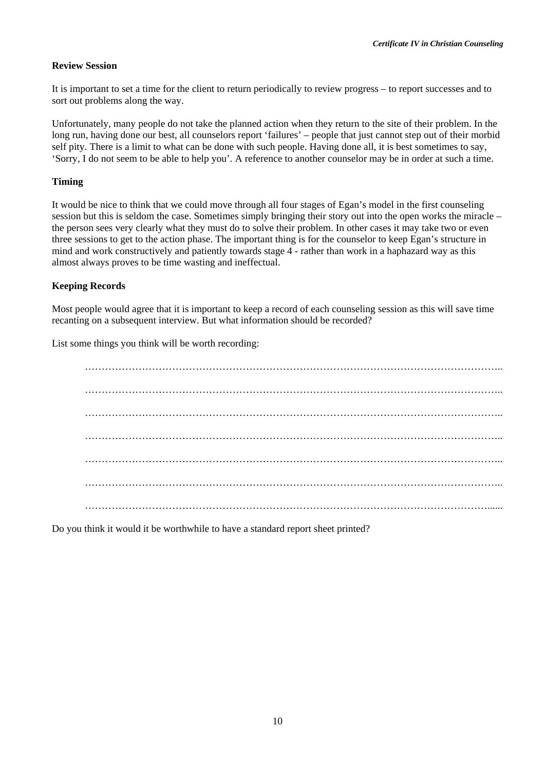#### **Review Session**

It is important to set a time for the client to return periodically to review progress – to report successes and to sort out problems along the way.

Unfortunately, many people do not take the planned action when they return to the site of their problem. In the long run, having done our best, all counselors report 'failures' – people that just cannot step out of their morbid self pity. There is a limit to what can be done with such people. Having done all, it is best sometimes to say, 'Sorry, I do not seem to be able to help you'. A reference to another counselor may be in order at such a time.

#### **Timing**

It would be nice to think that we could move through all four stages of Egan's model in the first counseling session but this is seldom the case. Sometimes simply bringing their story out into the open works the miracle – the person sees very clearly what they must do to solve their problem. In other cases it may take two or even three sessions to get to the action phase. The important thing is for the counselor to keep Egan's structure in mind and work constructively and patiently towards stage 4 - rather than work in a haphazard way as this almost always proves to be time wasting and ineffectual.

#### **Keeping Records**

Most people would agree that it is important to keep a record of each counseling session as this will save time recanting on a subsequent interview. But what information should be recorded?

List some things you think will be worth recording:

Do you think it would it be worthwhile to have a standard report sheet printed?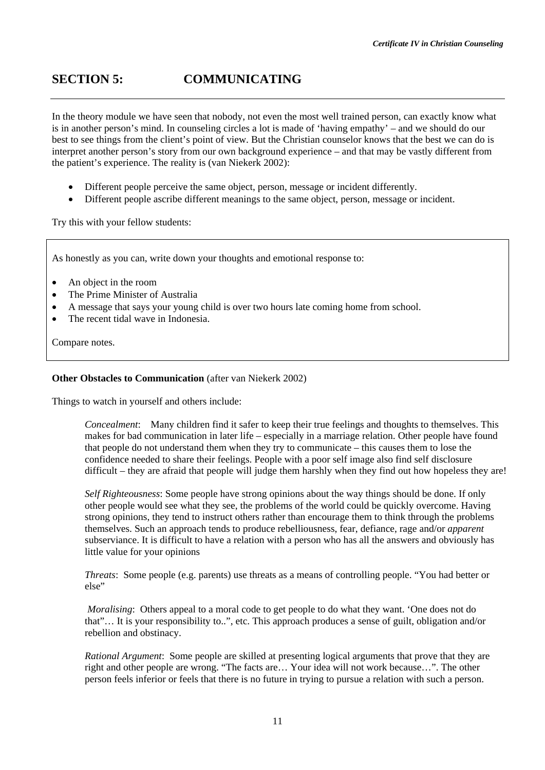# **SECTION 5: COMMUNICATING**

In the theory module we have seen that nobody, not even the most well trained person, can exactly know what is in another person's mind. In counseling circles a lot is made of 'having empathy' – and we should do our best to see things from the client's point of view. But the Christian counselor knows that the best we can do is interpret another person's story from our own background experience – and that may be vastly different from the patient's experience. The reality is (van Niekerk 2002):

- Different people perceive the same object, person, message or incident differently.
- Different people ascribe different meanings to the same object, person, message or incident.

Try this with your fellow students:

As honestly as you can, write down your thoughts and emotional response to:

- An object in the room
- The Prime Minister of Australia
- A message that says your young child is over two hours late coming home from school.
- The recent tidal wave in Indonesia.

Compare notes.

#### **Other Obstacles to Communication** (after van Niekerk 2002)

Things to watch in yourself and others include:

*Concealment*: Many children find it safer to keep their true feelings and thoughts to themselves. This makes for bad communication in later life – especially in a marriage relation. Other people have found that people do not understand them when they try to communicate – this causes them to lose the confidence needed to share their feelings. People with a poor self image also find self disclosure difficult – they are afraid that people will judge them harshly when they find out how hopeless they are!

*Self Righteousness*: Some people have strong opinions about the way things should be done. If only other people would see what they see, the problems of the world could be quickly overcome. Having strong opinions, they tend to instruct others rather than encourage them to think through the problems themselves. Such an approach tends to produce rebelliousness, fear, defiance, rage and/or *apparent*  subserviance. It is difficult to have a relation with a person who has all the answers and obviously has little value for your opinions

*Threats*: Some people (e.g. parents) use threats as a means of controlling people. "You had better or else"

*Moralising*: Others appeal to a moral code to get people to do what they want. 'One does not do that"… It is your responsibility to..", etc. This approach produces a sense of guilt, obligation and/or rebellion and obstinacy.

*Rational Argument*: Some people are skilled at presenting logical arguments that prove that they are right and other people are wrong. "The facts are… Your idea will not work because…". The other person feels inferior or feels that there is no future in trying to pursue a relation with such a person.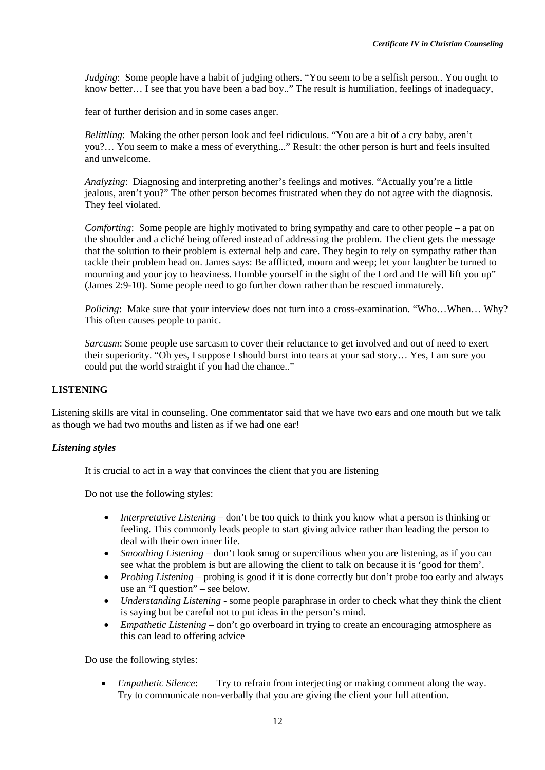*Judging*: Some people have a habit of judging others. "You seem to be a selfish person.. You ought to know better… I see that you have been a bad boy.." The result is humiliation, feelings of inadequacy,

fear of further derision and in some cases anger.

*Belittling*: Making the other person look and feel ridiculous. "You are a bit of a cry baby, aren't you?… You seem to make a mess of everything..." Result: the other person is hurt and feels insulted and unwelcome.

*Analyzing*: Diagnosing and interpreting another's feelings and motives. "Actually you're a little jealous, aren't you?" The other person becomes frustrated when they do not agree with the diagnosis. They feel violated.

*Comforting*: Some people are highly motivated to bring sympathy and care to other people – a pat on the shoulder and a cliché being offered instead of addressing the problem. The client gets the message that the solution to their problem is external help and care. They begin to rely on sympathy rather than tackle their problem head on. James says: Be afflicted, mourn and weep; let your laughter be turned to mourning and your joy to heaviness. Humble yourself in the sight of the Lord and He will lift you up" (James 2:9-10). Some people need to go further down rather than be rescued immaturely.

*Policing*: Make sure that your interview does not turn into a cross-examination. "Who...When... Why? This often causes people to panic.

*Sarcasm:* Some people use sarcasm to cover their reluctance to get involved and out of need to exert their superiority. "Oh yes, I suppose I should burst into tears at your sad story… Yes, I am sure you could put the world straight if you had the chance.."

#### **LISTENING**

Listening skills are vital in counseling. One commentator said that we have two ears and one mouth but we talk as though we had two mouths and listen as if we had one ear!

#### *Listening styles*

It is crucial to act in a way that convinces the client that you are listening

Do not use the following styles:

- *Interpretative Listening* don't be too quick to think you know what a person is thinking or feeling. This commonly leads people to start giving advice rather than leading the person to deal with their own inner life.
- *Smoothing Listening* don't look smug or supercilious when you are listening, as if you can see what the problem is but are allowing the client to talk on because it is 'good for them'.
- *Probing Listening* probing is good if it is done correctly but don't probe too early and always use an "I question" – see below.
- *Understanding Listening* some people paraphrase in order to check what they think the client is saying but be careful not to put ideas in the person's mind.
- *Empathetic Listening* don't go overboard in trying to create an encouraging atmosphere as this can lead to offering advice

Do use the following styles:

• *Empathetic Silence*: Try to refrain from interjecting or making comment along the way. Try to communicate non-verbally that you are giving the client your full attention.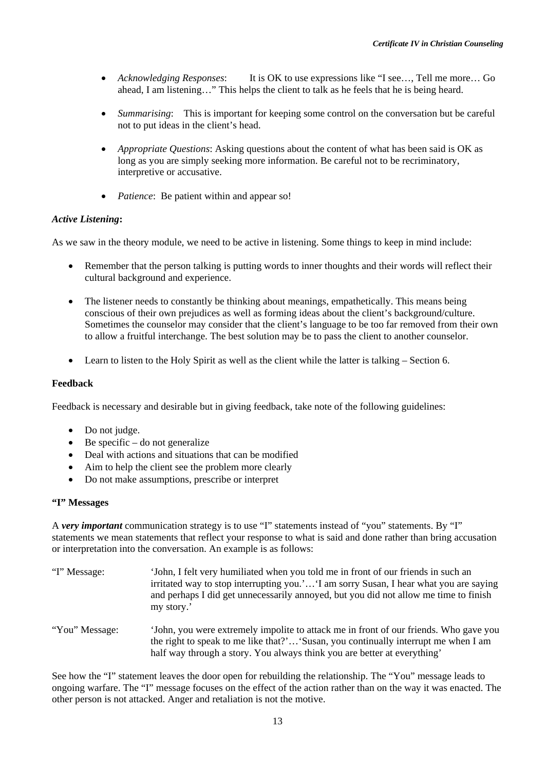- *Acknowledging Responses*: It is OK to use expressions like "I see…, Tell me more… Go ahead, I am listening…" This helps the client to talk as he feels that he is being heard.
- *Summarising*: This is important for keeping some control on the conversation but be careful not to put ideas in the client's head.
- *Appropriate Questions*: Asking questions about the content of what has been said is OK as long as you are simply seeking more information. Be careful not to be recriminatory, interpretive or accusative.
- *Patience*: Be patient within and appear so!

#### *Active Listening***:**

As we saw in the theory module, we need to be active in listening. Some things to keep in mind include:

- Remember that the person talking is putting words to inner thoughts and their words will reflect their cultural background and experience.
- The listener needs to constantly be thinking about meanings, empathetically. This means being conscious of their own prejudices as well as forming ideas about the client's background/culture. Sometimes the counselor may consider that the client's language to be too far removed from their own to allow a fruitful interchange. The best solution may be to pass the client to another counselor.
- Learn to listen to the Holy Spirit as well as the client while the latter is talking Section 6.

#### **Feedback**

Feedback is necessary and desirable but in giving feedback, take note of the following guidelines:

- Do not judge.
- Be specific do not generalize
- Deal with actions and situations that can be modified
- Aim to help the client see the problem more clearly
- Do not make assumptions, prescribe or interpret

#### **"I" Messages**

A *very important* communication strategy is to use "I" statements instead of "you" statements. By "I" statements we mean statements that reflect your response to what is said and done rather than bring accusation or interpretation into the conversation. An example is as follows:

- "I" Message: 'John, I felt very humiliated when you told me in front of our friends in such an irritated way to stop interrupting you.'…'I am sorry Susan, I hear what you are saying and perhaps I did get unnecessarily annoyed, but you did not allow me time to finish my story.' "You" Message: 'John, you were extremely impolite to attack me in front of our friends. Who gave you
- the right to speak to me like that?'…'Susan, you continually interrupt me when I am half way through a story. You always think you are better at everything'

See how the "I" statement leaves the door open for rebuilding the relationship. The "You" message leads to ongoing warfare. The "I" message focuses on the effect of the action rather than on the way it was enacted. The other person is not attacked. Anger and retaliation is not the motive.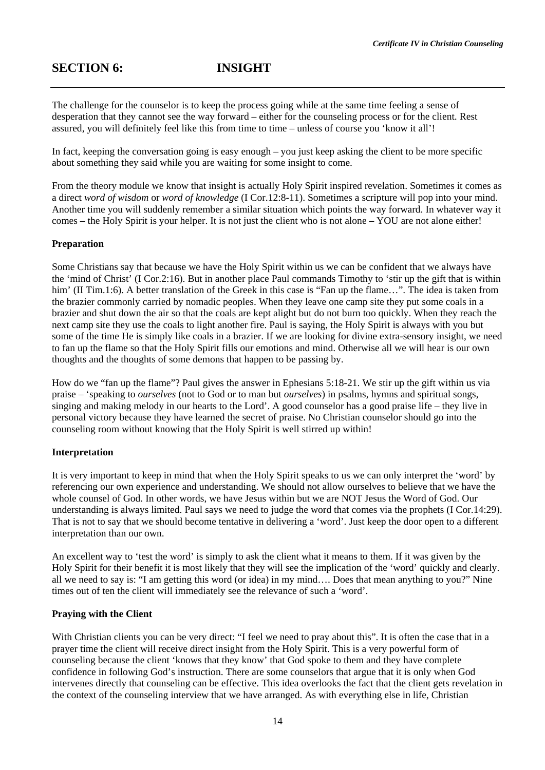The challenge for the counselor is to keep the process going while at the same time feeling a sense of desperation that they cannot see the way forward – either for the counseling process or for the client. Rest assured, you will definitely feel like this from time to time – unless of course you 'know it all'!

In fact, keeping the conversation going is easy enough – you just keep asking the client to be more specific about something they said while you are waiting for some insight to come.

From the theory module we know that insight is actually Holy Spirit inspired revelation. Sometimes it comes as a direct *word of wisdom* or *word of knowledge* (I Cor.12:8-11). Sometimes a scripture will pop into your mind. Another time you will suddenly remember a similar situation which points the way forward. In whatever way it comes – the Holy Spirit is your helper. It is not just the client who is not alone – YOU are not alone either!

#### **Preparation**

Some Christians say that because we have the Holy Spirit within us we can be confident that we always have the 'mind of Christ' (I Cor.2:16). But in another place Paul commands Timothy to 'stir up the gift that is within him' (II Tim.1:6). A better translation of the Greek in this case is "Fan up the flame...". The idea is taken from the brazier commonly carried by nomadic peoples. When they leave one camp site they put some coals in a brazier and shut down the air so that the coals are kept alight but do not burn too quickly. When they reach the next camp site they use the coals to light another fire. Paul is saying, the Holy Spirit is always with you but some of the time He is simply like coals in a brazier. If we are looking for divine extra-sensory insight, we need to fan up the flame so that the Holy Spirit fills our emotions and mind. Otherwise all we will hear is our own thoughts and the thoughts of some demons that happen to be passing by.

How do we "fan up the flame"? Paul gives the answer in Ephesians 5:18-21. We stir up the gift within us via praise – 'speaking to *ourselves* (not to God or to man but *ourselves*) in psalms, hymns and spiritual songs, singing and making melody in our hearts to the Lord'. A good counselor has a good praise life – they live in personal victory because they have learned the secret of praise. No Christian counselor should go into the counseling room without knowing that the Holy Spirit is well stirred up within!

#### **Interpretation**

It is very important to keep in mind that when the Holy Spirit speaks to us we can only interpret the 'word' by referencing our own experience and understanding. We should not allow ourselves to believe that we have the whole counsel of God. In other words, we have Jesus within but we are NOT Jesus the Word of God. Our understanding is always limited. Paul says we need to judge the word that comes via the prophets (I Cor.14:29). That is not to say that we should become tentative in delivering a 'word'. Just keep the door open to a different interpretation than our own.

An excellent way to 'test the word' is simply to ask the client what it means to them. If it was given by the Holy Spirit for their benefit it is most likely that they will see the implication of the 'word' quickly and clearly. all we need to say is: "I am getting this word (or idea) in my mind…. Does that mean anything to you?" Nine times out of ten the client will immediately see the relevance of such a 'word'.

#### **Praying with the Client**

With Christian clients you can be very direct: "I feel we need to pray about this". It is often the case that in a prayer time the client will receive direct insight from the Holy Spirit. This is a very powerful form of counseling because the client 'knows that they know' that God spoke to them and they have complete confidence in following God's instruction. There are some counselors that argue that it is only when God intervenes directly that counseling can be effective. This idea overlooks the fact that the client gets revelation in the context of the counseling interview that we have arranged. As with everything else in life, Christian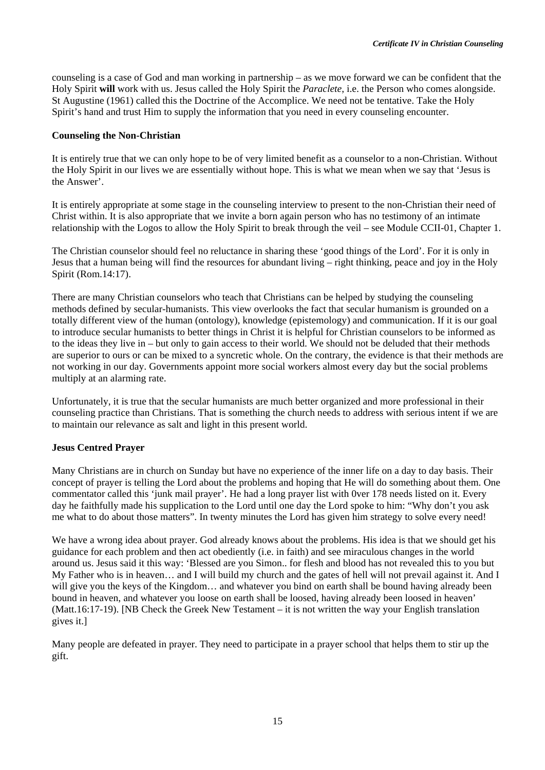counseling is a case of God and man working in partnership – as we move forward we can be confident that the Holy Spirit **will** work with us. Jesus called the Holy Spirit the *Paraclete*, i.e. the Person who comes alongside. St Augustine (1961) called this the Doctrine of the Accomplice. We need not be tentative. Take the Holy Spirit's hand and trust Him to supply the information that you need in every counseling encounter.

#### **Counseling the Non-Christian**

It is entirely true that we can only hope to be of very limited benefit as a counselor to a non-Christian. Without the Holy Spirit in our lives we are essentially without hope. This is what we mean when we say that 'Jesus is the Answer'.

It is entirely appropriate at some stage in the counseling interview to present to the non-Christian their need of Christ within. It is also appropriate that we invite a born again person who has no testimony of an intimate relationship with the Logos to allow the Holy Spirit to break through the veil – see Module CCII-01, Chapter 1.

The Christian counselor should feel no reluctance in sharing these 'good things of the Lord'. For it is only in Jesus that a human being will find the resources for abundant living – right thinking, peace and joy in the Holy Spirit (Rom.14:17).

There are many Christian counselors who teach that Christians can be helped by studying the counseling methods defined by secular-humanists. This view overlooks the fact that secular humanism is grounded on a totally different view of the human (ontology), knowledge (epistemology) and communication. If it is our goal to introduce secular humanists to better things in Christ it is helpful for Christian counselors to be informed as to the ideas they live in – but only to gain access to their world. We should not be deluded that their methods are superior to ours or can be mixed to a syncretic whole. On the contrary, the evidence is that their methods are not working in our day. Governments appoint more social workers almost every day but the social problems multiply at an alarming rate.

Unfortunately, it is true that the secular humanists are much better organized and more professional in their counseling practice than Christians. That is something the church needs to address with serious intent if we are to maintain our relevance as salt and light in this present world.

#### **Jesus Centred Prayer**

Many Christians are in church on Sunday but have no experience of the inner life on a day to day basis. Their concept of prayer is telling the Lord about the problems and hoping that He will do something about them. One commentator called this 'junk mail prayer'. He had a long prayer list with 0ver 178 needs listed on it. Every day he faithfully made his supplication to the Lord until one day the Lord spoke to him: "Why don't you ask me what to do about those matters". In twenty minutes the Lord has given him strategy to solve every need!

We have a wrong idea about prayer. God already knows about the problems. His idea is that we should get his guidance for each problem and then act obediently (i.e. in faith) and see miraculous changes in the world around us. Jesus said it this way: 'Blessed are you Simon.. for flesh and blood has not revealed this to you but My Father who is in heaven… and I will build my church and the gates of hell will not prevail against it. And I will give you the keys of the Kingdom... and whatever you bind on earth shall be bound having already been bound in heaven, and whatever you loose on earth shall be loosed, having already been loosed in heaven' (Matt.16:17-19). [NB Check the Greek New Testament – it is not written the way your English translation gives it.]

Many people are defeated in prayer. They need to participate in a prayer school that helps them to stir up the gift.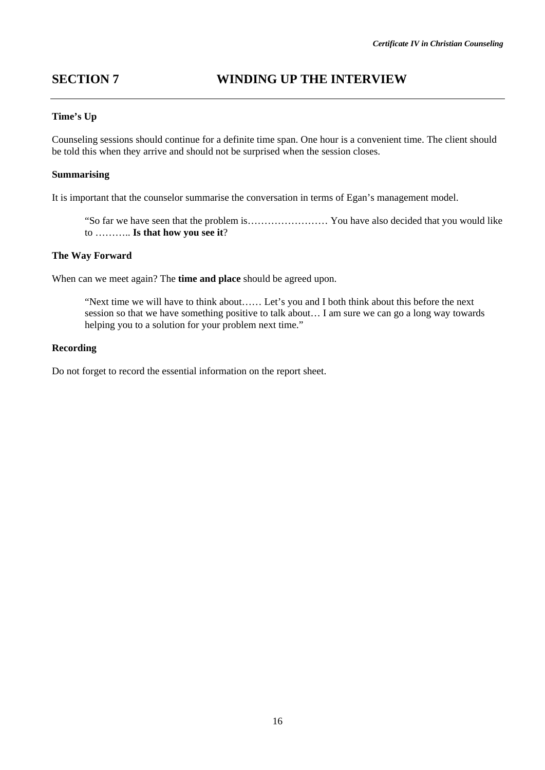## **SECTION 7 WINDING UP THE INTERVIEW**

#### **Time's Up**

Counseling sessions should continue for a definite time span. One hour is a convenient time. The client should be told this when they arrive and should not be surprised when the session closes.

#### **Summarising**

It is important that the counselor summarise the conversation in terms of Egan's management model.

"So far we have seen that the problem is…………………… You have also decided that you would like to ……….. **Is that how you see it**?

#### **The Way Forward**

When can we meet again? The **time and place** should be agreed upon.

"Next time we will have to think about…… Let's you and I both think about this before the next session so that we have something positive to talk about… I am sure we can go a long way towards helping you to a solution for your problem next time."

#### **Recording**

Do not forget to record the essential information on the report sheet.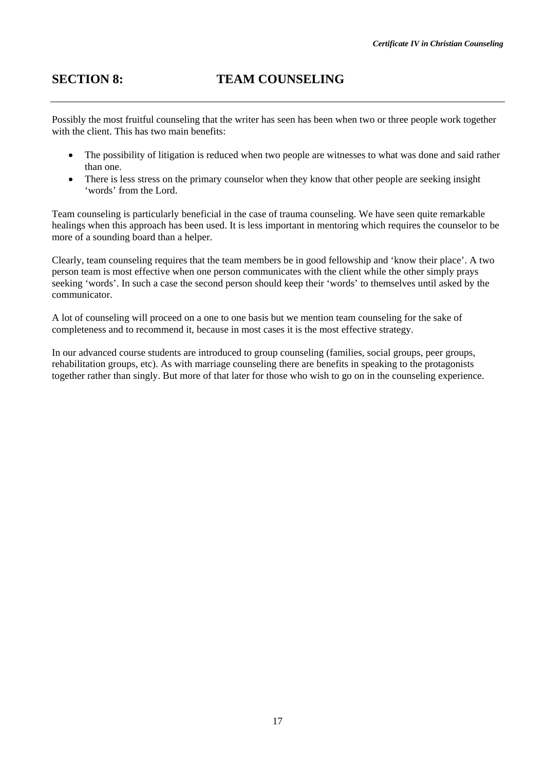Possibly the most fruitful counseling that the writer has seen has been when two or three people work together with the client. This has two main benefits:

- The possibility of litigation is reduced when two people are witnesses to what was done and said rather than one.
- There is less stress on the primary counselor when they know that other people are seeking insight 'words' from the Lord.

Team counseling is particularly beneficial in the case of trauma counseling. We have seen quite remarkable healings when this approach has been used. It is less important in mentoring which requires the counselor to be more of a sounding board than a helper.

Clearly, team counseling requires that the team members be in good fellowship and 'know their place'. A two person team is most effective when one person communicates with the client while the other simply prays seeking 'words'. In such a case the second person should keep their 'words' to themselves until asked by the communicator.

A lot of counseling will proceed on a one to one basis but we mention team counseling for the sake of completeness and to recommend it, because in most cases it is the most effective strategy.

In our advanced course students are introduced to group counseling (families, social groups, peer groups, rehabilitation groups, etc). As with marriage counseling there are benefits in speaking to the protagonists together rather than singly. But more of that later for those who wish to go on in the counseling experience.